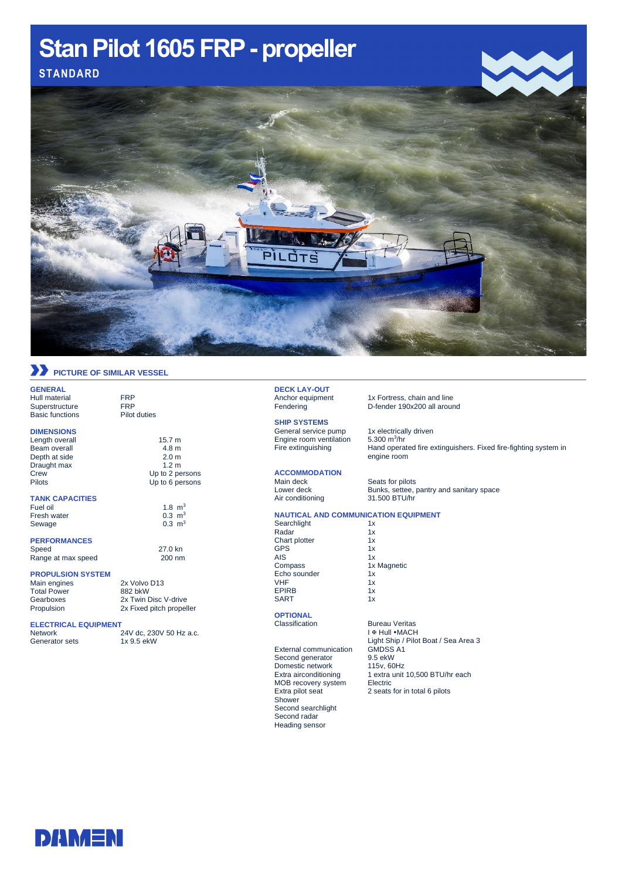# Stan Pilot 1605 FRP - propeller **Stan Pilot 1605 FRP-propeller STANDARD**1. Click insert – insert picture – from file  $2.2.$  Choose picture 3. Adjust Size of Picture an F

### **PICTURE OF SIMILAR VESSEL**

**GENERAL** Hull material FRP<br>Superstructure FRP Superstructure Basic functions Pilot duties

#### **DIMENSIONS**

Length overall 15.7 m<br>Beam overall 15.7 m<br>4.8 m Beam overall 4.8 m<br>Depth at side 2.0 m Depth at side 2.0 m<br>Draught max 2.0 m<br>1.2 m Draught max Crew Up to 2 persons Pilots Up to 6 persons

#### **TANK CAPACITIES**

Fuel oil<br>
Fuel oil 1.8 m<sup>3</sup><br>
Fresh water 0.3 m<sup>3</sup> Fresh water  $0.3 \text{ m}^3$ <br>Sewage  $0.3 \text{ m}^3$ Sewage

#### **PERFORMANCES**

Epose<br>Range at max speed

#### **PROPULSION SYSTEM**

Main engines 2x Volvo D13<br>Total Power 882 bkW Total Power<br>Gearboxes Propulsion 2x Fixed pitch propeller

### **ELECTRICAL EQUIPMENT**

24V dc, 230V 50 Hz a.c. Generator sets 1x 9.5 ekW

2x Twin Disc V-drive

27.0 kn<br>200 nm

## **DECK LAY-OUT**<br>Anchor equipment

**SHIP SYSTEMS**

General service pump 1x electrically driven Engine room ventilation

## **ACCOMMODATION**

Air conditioning

1x Fortress, chain and line Fendering D-fender 190x200 all around

5.300  $m^3/hr$ Fire extinguishing **Hand operated fire extinguishers. Fixed fire-fighting system in** engine room

Main deck Seats for pilots<br>
Lower deck Bunks, settee, p Bunks, settee, pantry and sanitary space<br>31.500 BTU/hr

#### **NAUTICAL AND COMMUNICATION EQUIPMENT**

Searchlight 1x<br>Radar 1x Exercise in the Radar<br>
Chart plotter 1x Chart plotter 1x<br>GPS 1x GPS 1x<br>AIS 1x AIS<br>Compass Echo sounder 1x  $VHF$  1x EPIRB 1x SART

## **OPTIONAL**

External communication GMDSS<br>Second generator 9.5 ekW Second generator 9.5 ekW<br>Domestic network 115v, 60Hz Domestic network<br>Extra airconditioning MOB recovery system<br>Extra pilot seat Shower Second searchlight Second radar Heading sensor

**Bureau Veritas I & Hull • MACH** Light Ship / Pilot Boat / Sea Area 3<br>GMDSS A1 1 extra unit 10,500 BTU/hr each<br>Electric Extractive seats for in total 6 pilots



1x Magnetic